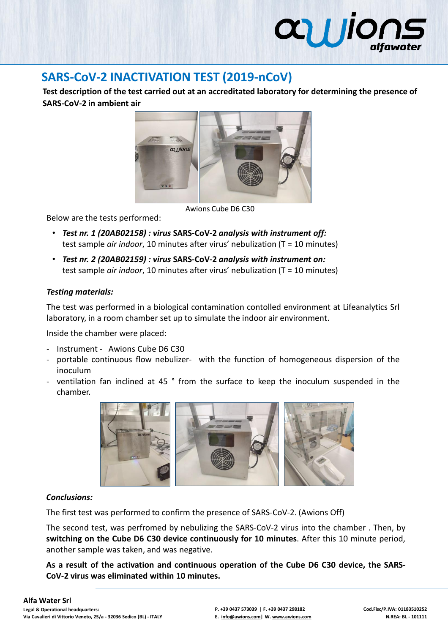# **allio**

# **SARS-CoV-2 INACTIVATION TEST (2019-nCoV)**

**Test description of the test carried out at an accreditated laboratory for determining the presence of SARS-CoV-2 in ambient air**



Awions Cube D6 C30

Below are the tests performed:

- *Test nr. 1 (20AB02158) : virus* **SARS-CoV-2** *analysis with instrument off:* test sample *air indoor*, 10 minutes after virus' nebulization (T = 10 minutes)
- *Test nr. 2 (20AB02159) : virus* **SARS-CoV-2** *analysis with instrument on:* test sample *air indoor*, 10 minutes after virus' nebulization (T = 10 minutes)

## *Testing materials:*

The test was performed in a biological contamination contolled environment at Lifeanalytics Srl laboratory, in a room chamber set up to simulate the indoor air environment.

Inside the chamber were placed:

- Instrument Awions Cube D6 C30
- portable continuous flow nebulizer- with the function of homogeneous dispersion of the inoculum
- ventilation fan inclined at 45 ° from the surface to keep the inoculum suspended in the chamber.



## *Conclusions:*

The first test was performed to confirm the presence of SARS-CoV-2. (Awions Off)

The second test, was perfromed by nebulizing the SARS-CoV-2 virus into the chamber . Then, by **switching on the Cube D6 C30 device continuously for 10 minutes**. After this 10 minute period, another sample was taken, and was negative.

**As a result of the activation and continuous operation of the Cube D6 C30 device, the SARS-CoV-2 virus was eliminated within 10 minutes.**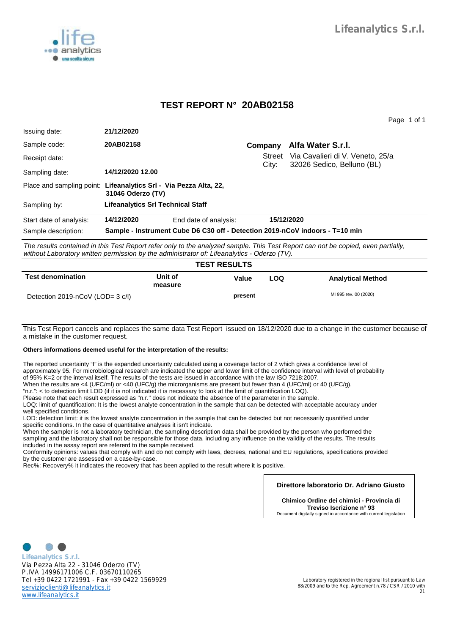

## **TEST REPORT N° 20AB02158**

Page 1 of 1

| Issuing date:                                                     | 21/12/2020                                                                   |                       |                        |                                                                                                                                     |  |  |
|-------------------------------------------------------------------|------------------------------------------------------------------------------|-----------------------|------------------------|-------------------------------------------------------------------------------------------------------------------------------------|--|--|
| Sample code:                                                      | 20AB02158                                                                    |                       | Company                | Alfa Water S.r.l.                                                                                                                   |  |  |
| Receipt date:                                                     |                                                                              |                       | <b>Street</b><br>City: | Via Cavalieri di V. Veneto, 25/a<br>32026 Sedico, Belluno (BL)                                                                      |  |  |
| Sampling date:                                                    | 14/12/2020 12.00                                                             |                       |                        |                                                                                                                                     |  |  |
| Place and sampling point: Lifeanalytics Srl - Via Pezza Alta, 22, | 31046 Oderzo (TV)                                                            |                       |                        |                                                                                                                                     |  |  |
| Sampling by:                                                      | <b>Lifeanalytics Srl Technical Staff</b>                                     |                       |                        |                                                                                                                                     |  |  |
| Start date of analysis:                                           | 14/12/2020                                                                   | End date of analysis: |                        | 15/12/2020                                                                                                                          |  |  |
| Sample description:                                               | Sample - Instrument Cube D6 C30 off - Detection 2019-nCoV indoors - T=10 min |                       |                        |                                                                                                                                     |  |  |
|                                                                   |                                                                              |                       |                        | The results contained in this Test Depart refer apply to the angly red complet This Test Depart can not be conjected aver partially |  |  |

The results contained in this Test Report refer only to the analyzed sample. This Test Report can not be copied, even partially, without Laboratory written permission by the administrator of: Lifeanalytics - Oderzo (TV).

| <b>TEST RESULTS</b>              |                    |         |     |                          |  |
|----------------------------------|--------------------|---------|-----|--------------------------|--|
| <b>Test denomination</b>         | Unit of<br>measure | Value   | LOQ | <b>Analytical Method</b> |  |
| Detection 2019-nCoV (LOD= 3 c/l) |                    | present |     | MI 995 rev. 00 (2020)    |  |

This Test Report cancels and replaces the same data Test Report issued on 18/12/2020 due to a change in the customer because of a mistake in the customer request.

#### **Others informations deemed useful for the interpretation of the results:**

The reported uncertainty "I" is the expanded uncertainty calculated using a coverage factor of 2 which gives a confidence level of approximately 95. For microbiological research are indicated the upper and lower limit of the confidence interval with level of probability of 95% K=2 orthe interval itself. The results of the tests are issued in accordance with the law ISO 7218:2007.

When the results are <4 (UFC/ml) or <40 (UFC/g) the microrganisms are present but fewer than 4 (UFC/ml) or 40 (UFC/g).

"n.r.": < to detection limit LOD (if it is not indicated it is necessary to look atthe limit of quantification LOQ).

Please note that each result expressed as "n.r." does not indicate the absence of the parameter in the sample.

LOQ: limit of quantification: It is the lowest analyte concentration in the sample that can be detected with acceptable accuracy under well specified conditions.

LOD: detection limit: it is the lowest analyte concentration in the sample that can be detected but not necessarily quantified under specific conditions. In the case of quantitative analyses it isn't indicate.

When the sampler is not a laboratory technician, the sampling description data shall be provided by the person who performed the sampling and the laboratory shall not be responsible for those data, including any influence on the validity of the results. The results included in the assay report are refererd to the sample received.

Conformity opinions: values that comply with and do not comply with laws, decrees, national and EU regulations, specifications provided by the customer are assessed on a case-by-case.

Rec%: Recovery% it indicates the recovery that has been applied to the result where it is positive.

#### **Direttore laboratorio Dr. Adriano Giusto**

**Chimico Ordine dei chimici - Provincia di Treviso Iscrizione n° 93** Document digitally signed in accordance with current legislation



**Lifeanalytics S.r.l.** Via Pezza Alta 22 - 31046 Oderzo (TV) P.IVA 14996171006 C.F. 03670110265 Tel +39 0422 1721991 - Fax +39 0422 1569929 servizioclienti@lifeanalytics.it www.lifeanalytics.it

Laboratory registered in the regional list pursuant to Law 88/2009 and to the Rep. Agreement n.78 / CSR / 2010 with 21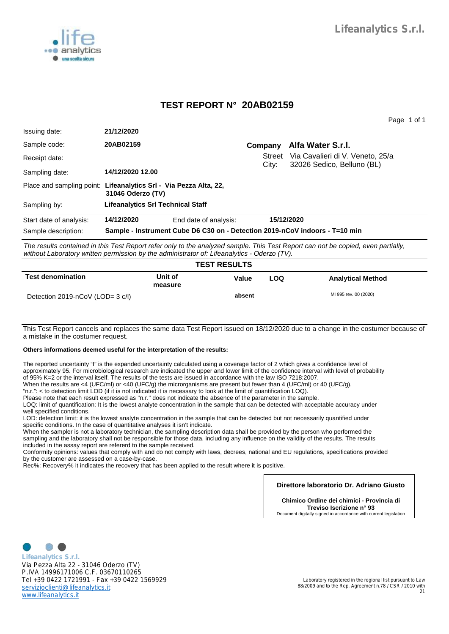

## **TEST REPORT N° 20AB02159**

Page 1 of 1

| Issuing date:           | 21/12/2020                                                                             |                       |               |                                                                                                                          |  |  |
|-------------------------|----------------------------------------------------------------------------------------|-----------------------|---------------|--------------------------------------------------------------------------------------------------------------------------|--|--|
| Sample code:            | 20AB02159                                                                              |                       | Company       | Alfa Water S.r.I.                                                                                                        |  |  |
| Receipt date:           |                                                                                        |                       | <b>Street</b> | Via Cavalieri di V. Veneto, 25/a                                                                                         |  |  |
| Sampling date:          | 14/12/2020 12.00                                                                       |                       | City:         | 32026 Sedico, Belluno (BL)                                                                                               |  |  |
|                         | Place and sampling point: Lifeanalytics Srl - Via Pezza Alta, 22,<br>31046 Oderzo (TV) |                       |               |                                                                                                                          |  |  |
| Sampling by:            | Lifeanalytics Srl Technical Staff                                                      |                       |               |                                                                                                                          |  |  |
| Start date of analysis: | 14/12/2020                                                                             | End date of analysis: |               | 15/12/2020                                                                                                               |  |  |
| Sample description:     | Sample - Instrument Cube D6 C30 on - Detection 2019-nCoV indoors - T=10 min            |                       |               |                                                                                                                          |  |  |
|                         |                                                                                        |                       |               | The verificial in this Test Denout vefer substation and very a smaller. This Test Denout can not be conjected associated |  |  |

The results contained in this Test Report refer only to the analyzed sample. This Test Report can not be copied, even partially, without Laboratory written permission by the administrator of: Lifeanalytics - Oderzo (TV).

| <b>TEST RESULTS</b>              |                    |        |     |                          |
|----------------------------------|--------------------|--------|-----|--------------------------|
| <b>Test denomination</b>         | Unit of<br>measure | Value  | LOQ | <b>Analytical Method</b> |
| Detection 2019-nCoV (LOD= 3 c/l) |                    | absent |     | MI 995 rev. 00 (2020)    |

This Test Report cancels and replaces the same data Test Report issued on 18/12/2020 due to a change in the costumer because of a mistake in the costumer request.

#### **Others informations deemed useful for the interpretation of the results:**

The reported uncertainty "I" is the expanded uncertainty calculated using a coverage factor of 2 which gives a confidence level of approximately 95. For microbiological research are indicated the upper and lower limit of the confidence interval with level of probability of 95% K=2 orthe interval itself. The results of the tests are issued in accordance with the law ISO 7218:2007.

When the results are <4 (UFC/ml) or <40 (UFC/g) the microrganisms are present but fewer than 4 (UFC/ml) or 40 (UFC/g).

"n.r.": < to detection limit LOD (if it is not indicated it is necessary to look atthe limit of quantification LOQ).

Please note that each result expressed as "n.r." does not indicate the absence of the parameter in the sample.

LOQ: limit of quantification: It is the lowest analyte concentration in the sample that can be detected with acceptable accuracy under well specified conditions.

LOD: detection limit: it is the lowest analyte concentration in the sample that can be detected but not necessarily quantified under specific conditions. In the case of quantitative analyses it isn't indicate.

When the sampler is not a laboratory technician, the sampling description data shall be provided by the person who performed the sampling and the laboratory shall not be responsible for those data, including any influence on the validity of the results. The results included in the assay report are refererd to the sample received.

Conformity opinions: values that comply with and do not comply with laws, decrees, national and EU regulations, specifications provided by the customer are assessed on a case-by-case.

Rec%: Recovery% it indicates the recovery that has been applied to the result where it is positive.

#### **Direttore laboratorio Dr. Adriano Giusto**

**Chimico Ordine dei chimici - Provincia di Treviso Iscrizione n° 93** Document digitally signed in accordance with current legislation



**Lifeanalytics S.r.l.** Via Pezza Alta 22 - 31046 Oderzo (TV) P.IVA 14996171006 C.F. 03670110265 Tel +39 0422 1721991 - Fax +39 0422 1569929 servizioclienti@lifeanalytics.it www.lifeanalytics.it

Laboratory registered in the regional list pursuant to Law 88/2009 and to the Rep. Agreement n.78 / CSR / 2010 with 21